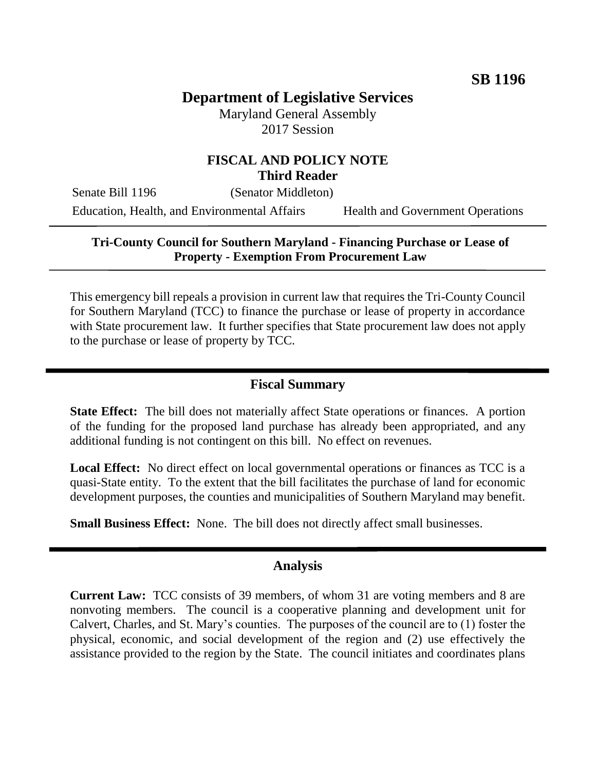# **Department of Legislative Services**

Maryland General Assembly 2017 Session

## **FISCAL AND POLICY NOTE Third Reader**

Senate Bill 1196 (Senator Middleton) Education, Health, and Environmental Affairs Health and Government Operations

#### **Tri-County Council for Southern Maryland - Financing Purchase or Lease of Property - Exemption From Procurement Law**

This emergency bill repeals a provision in current law that requires the Tri-County Council for Southern Maryland (TCC) to finance the purchase or lease of property in accordance with State procurement law. It further specifies that State procurement law does not apply to the purchase or lease of property by TCC.

### **Fiscal Summary**

**State Effect:** The bill does not materially affect State operations or finances. A portion of the funding for the proposed land purchase has already been appropriated, and any additional funding is not contingent on this bill. No effect on revenues.

**Local Effect:** No direct effect on local governmental operations or finances as TCC is a quasi-State entity. To the extent that the bill facilitates the purchase of land for economic development purposes, the counties and municipalities of Southern Maryland may benefit.

**Small Business Effect:** None. The bill does not directly affect small businesses.

#### **Analysis**

**Current Law:** TCC consists of 39 members, of whom 31 are voting members and 8 are nonvoting members. The council is a cooperative planning and development unit for Calvert, Charles, and St. Mary's counties. The purposes of the council are to (1) foster the physical, economic, and social development of the region and (2) use effectively the assistance provided to the region by the State. The council initiates and coordinates plans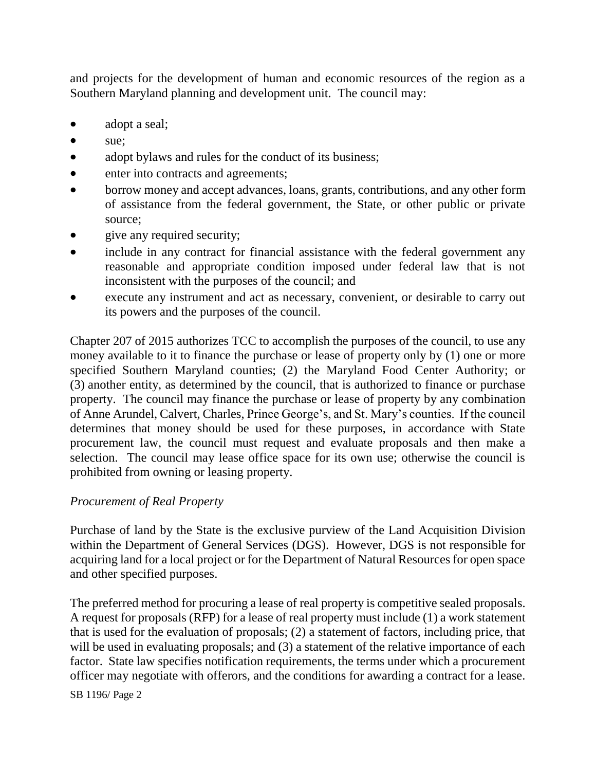and projects for the development of human and economic resources of the region as a Southern Maryland planning and development unit. The council may:

- adopt a seal;
- sue:
- adopt by laws and rules for the conduct of its business;
- enter into contracts and agreements;
- borrow money and accept advances, loans, grants, contributions, and any other form of assistance from the federal government, the State, or other public or private source;
- give any required security;
- include in any contract for financial assistance with the federal government any reasonable and appropriate condition imposed under federal law that is not inconsistent with the purposes of the council; and
- execute any instrument and act as necessary, convenient, or desirable to carry out its powers and the purposes of the council.

Chapter 207 of 2015 authorizes TCC to accomplish the purposes of the council, to use any money available to it to finance the purchase or lease of property only by (1) one or more specified Southern Maryland counties; (2) the Maryland Food Center Authority; or (3) another entity, as determined by the council, that is authorized to finance or purchase property. The council may finance the purchase or lease of property by any combination of Anne Arundel, Calvert, Charles, Prince George's, and St. Mary's counties. If the council determines that money should be used for these purposes, in accordance with State procurement law, the council must request and evaluate proposals and then make a selection. The council may lease office space for its own use; otherwise the council is prohibited from owning or leasing property.

### *Procurement of Real Property*

Purchase of land by the State is the exclusive purview of the Land Acquisition Division within the Department of General Services (DGS). However, DGS is not responsible for acquiring land for a local project or for the Department of Natural Resources for open space and other specified purposes.

The preferred method for procuring a lease of real property is competitive sealed proposals. A request for proposals (RFP) for a lease of real property must include (1) a work statement that is used for the evaluation of proposals; (2) a statement of factors, including price, that will be used in evaluating proposals; and (3) a statement of the relative importance of each factor. State law specifies notification requirements, the terms under which a procurement officer may negotiate with offerors, and the conditions for awarding a contract for a lease.

SB 1196/ Page 2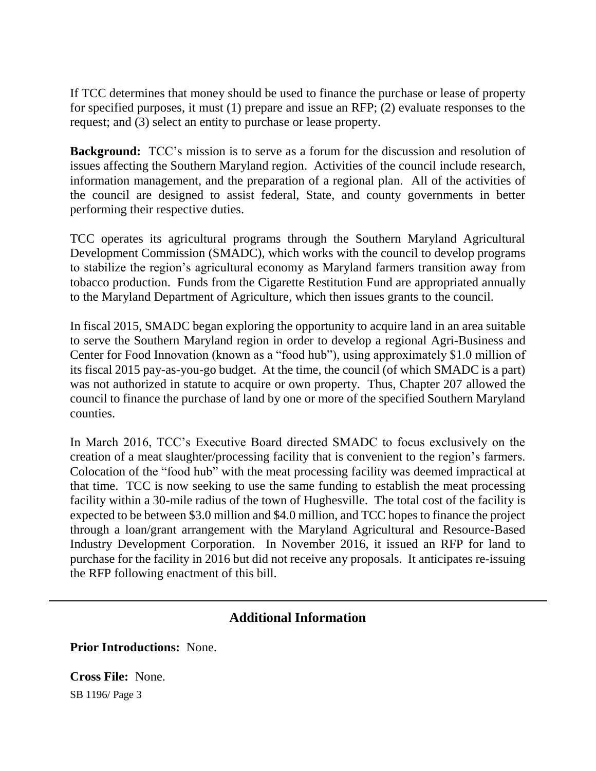If TCC determines that money should be used to finance the purchase or lease of property for specified purposes, it must (1) prepare and issue an RFP; (2) evaluate responses to the request; and (3) select an entity to purchase or lease property.

**Background:** TCC's mission is to serve as a forum for the discussion and resolution of issues affecting the Southern Maryland region. Activities of the council include research, information management, and the preparation of a regional plan. All of the activities of the council are designed to assist federal, State, and county governments in better performing their respective duties.

TCC operates its agricultural programs through the Southern Maryland Agricultural Development Commission (SMADC), which works with the council to develop programs to stabilize the region's agricultural economy as Maryland farmers transition away from tobacco production. Funds from the Cigarette Restitution Fund are appropriated annually to the Maryland Department of Agriculture, which then issues grants to the council.

In fiscal 2015, SMADC began exploring the opportunity to acquire land in an area suitable to serve the Southern Maryland region in order to develop a regional Agri-Business and Center for Food Innovation (known as a "food hub"), using approximately \$1.0 million of its fiscal 2015 pay-as-you-go budget. At the time, the council (of which SMADC is a part) was not authorized in statute to acquire or own property. Thus, Chapter 207 allowed the council to finance the purchase of land by one or more of the specified Southern Maryland counties.

In March 2016, TCC's Executive Board directed SMADC to focus exclusively on the creation of a meat slaughter/processing facility that is convenient to the region's farmers. Colocation of the "food hub" with the meat processing facility was deemed impractical at that time. TCC is now seeking to use the same funding to establish the meat processing facility within a 30-mile radius of the town of Hughesville. The total cost of the facility is expected to be between \$3.0 million and \$4.0 million, and TCC hopes to finance the project through a loan/grant arrangement with the Maryland Agricultural and Resource-Based Industry Development Corporation. In November 2016, it issued an RFP for land to purchase for the facility in 2016 but did not receive any proposals. It anticipates re-issuing the RFP following enactment of this bill.

# **Additional Information**

**Prior Introductions:** None.

SB 1196/ Page 3 **Cross File:** None.